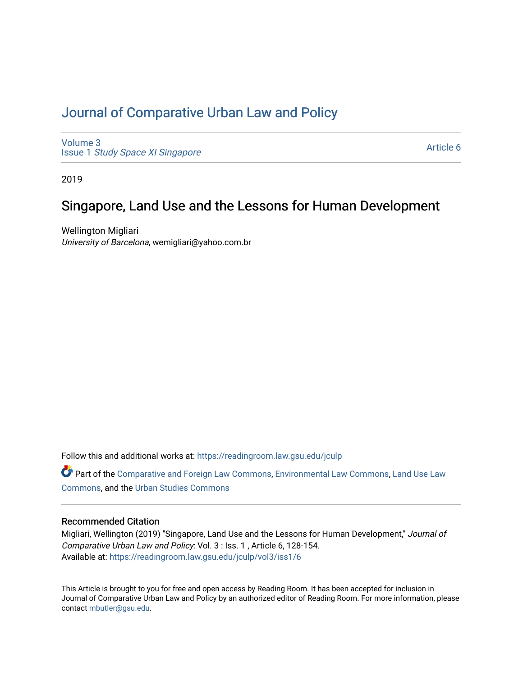# [Journal of Comparative Urban Law and Policy](https://readingroom.law.gsu.edu/jculp)

[Volume 3](https://readingroom.law.gsu.edu/jculp/vol3) Issue 1 [Study Space XI Singapore](https://readingroom.law.gsu.edu/jculp/vol3/iss1)

[Article 6](https://readingroom.law.gsu.edu/jculp/vol3/iss1/6) 

2019

# Singapore, Land Use and the Lessons for Human Development

Wellington Migliari University of Barcelona, wemigliari@yahoo.com.br

Follow this and additional works at: [https://readingroom.law.gsu.edu/jculp](https://readingroom.law.gsu.edu/jculp?utm_source=readingroom.law.gsu.edu%2Fjculp%2Fvol3%2Fiss1%2F6&utm_medium=PDF&utm_campaign=PDFCoverPages) 

Part of the [Comparative and Foreign Law Commons,](http://network.bepress.com/hgg/discipline/836?utm_source=readingroom.law.gsu.edu%2Fjculp%2Fvol3%2Fiss1%2F6&utm_medium=PDF&utm_campaign=PDFCoverPages) [Environmental Law Commons](http://network.bepress.com/hgg/discipline/599?utm_source=readingroom.law.gsu.edu%2Fjculp%2Fvol3%2Fiss1%2F6&utm_medium=PDF&utm_campaign=PDFCoverPages), Land Use Law [Commons](http://network.bepress.com/hgg/discipline/852?utm_source=readingroom.law.gsu.edu%2Fjculp%2Fvol3%2Fiss1%2F6&utm_medium=PDF&utm_campaign=PDFCoverPages), and the [Urban Studies Commons](http://network.bepress.com/hgg/discipline/402?utm_source=readingroom.law.gsu.edu%2Fjculp%2Fvol3%2Fiss1%2F6&utm_medium=PDF&utm_campaign=PDFCoverPages) 

## Recommended Citation

Migliari, Wellington (2019) "Singapore, Land Use and the Lessons for Human Development," Journal of Comparative Urban Law and Policy: Vol. 3 : Iss. 1 , Article 6, 128-154. Available at: [https://readingroom.law.gsu.edu/jculp/vol3/iss1/6](https://readingroom.law.gsu.edu/jculp/vol3/iss1/6?utm_source=readingroom.law.gsu.edu%2Fjculp%2Fvol3%2Fiss1%2F6&utm_medium=PDF&utm_campaign=PDFCoverPages) 

This Article is brought to you for free and open access by Reading Room. It has been accepted for inclusion in Journal of Comparative Urban Law and Policy by an authorized editor of Reading Room. For more information, please contact [mbutler@gsu.edu](mailto:mbutler@gsu.edu).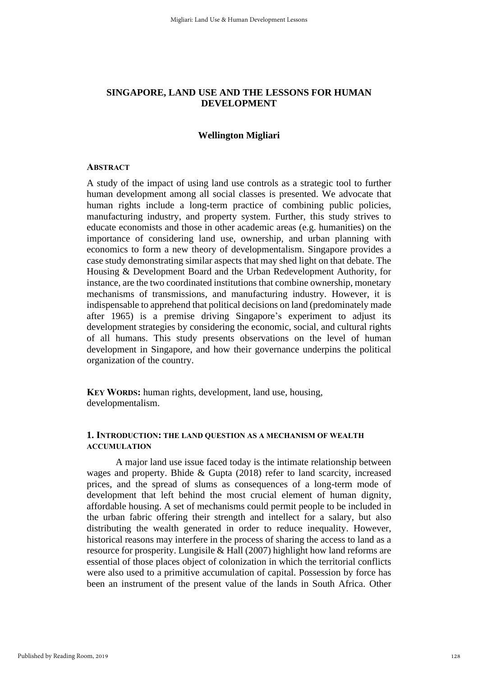# **SINGAPORE, LAND USE AND THE LESSONS FOR HUMAN DEVELOPMENT**

### **Wellington Migliari**

#### **ABSTRACT**

A study of the impact of using land use controls as a strategic tool to further human development among all social classes is presented. We advocate that human rights include a long-term practice of combining public policies, manufacturing industry, and property system. Further, this study strives to educate economists and those in other academic areas (e.g. humanities) on the importance of considering land use, ownership, and urban planning with economics to form a new theory of developmentalism. Singapore provides a case study demonstrating similar aspects that may shed light on that debate. The Housing & Development Board and the Urban Redevelopment Authority, for instance, are the two coordinated institutions that combine ownership, monetary mechanisms of transmissions, and manufacturing industry. However, it is indispensable to apprehend that political decisions on land (predominately made after 1965) is a premise driving Singapore's experiment to adjust its development strategies by considering the economic, social, and cultural rights of all humans. This study presents observations on the level of human development in Singapore, and how their governance underpins the political organization of the country.

**KEY WORDS:** human rights, development, land use, housing, developmentalism.

# **1. INTRODUCTION: THE LAND QUESTION AS A MECHANISM OF WEALTH ACCUMULATION**

A major land use issue faced today is the intimate relationship between wages and property. Bhide & Gupta (2018) refer to land scarcity, increased prices, and the spread of slums as consequences of a long-term mode of development that left behind the most crucial element of human dignity, affordable housing. A set of mechanisms could permit people to be included in the urban fabric offering their strength and intellect for a salary, but also distributing the wealth generated in order to reduce inequality. However, historical reasons may interfere in the process of sharing the access to land as a resource for prosperity. Lungisile & Hall (2007) highlight how land reforms are essential of those places object of colonization in which the territorial conflicts were also used to a primitive accumulation of capital. Possession by force has been an instrument of the present value of the lands in South Africa. Other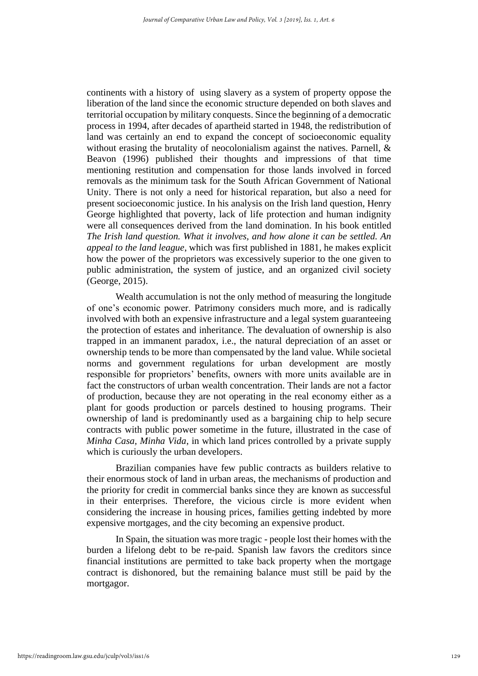continents with a history of using slavery as a system of property oppose the liberation of the land since the economic structure depended on both slaves and territorial occupation by military conquests. Since the beginning of a democratic process in 1994, after decades of apartheid started in 1948, the redistribution of land was certainly an end to expand the concept of socioeconomic equality without erasing the brutality of neocolonialism against the natives. Parnell, & Beavon (1996) published their thoughts and impressions of that time mentioning restitution and compensation for those lands involved in forced removals as the minimum task for the South African Government of National Unity. There is not only a need for historical reparation, but also a need for present socioeconomic justice. In his analysis on the Irish land question, Henry George highlighted that poverty, lack of life protection and human indignity were all consequences derived from the land domination. In his book entitled *The Irish land question. What it involves, and how alone it can be settled. An appeal to the land league*, which was first published in 1881, he makes explicit how the power of the proprietors was excessively superior to the one given to public administration, the system of justice, and an organized civil society (George, 2015).

Wealth accumulation is not the only method of measuring the longitude of one's economic power. Patrimony considers much more, and is radically involved with both an expensive infrastructure and a legal system guaranteeing the protection of estates and inheritance. The devaluation of ownership is also trapped in an immanent paradox, i.e., the natural depreciation of an asset or ownership tends to be more than compensated by the land value. While societal norms and government regulations for urban development are mostly responsible for proprietors' benefits, owners with more units available are in fact the constructors of urban wealth concentration. Their lands are not a factor of production, because they are not operating in the real economy either as a plant for goods production or parcels destined to housing programs. Their ownership of land is predominantly used as a bargaining chip to help secure contracts with public power sometime in the future, illustrated in the case of *Minha Casa, Minha Vida*, in which land prices controlled by a private supply which is curiously the urban developers.

Brazilian companies have few public contracts as builders relative to their enormous stock of land in urban areas, the mechanisms of production and the priority for credit in commercial banks since they are known as successful in their enterprises. Therefore, the vicious circle is more evident when considering the increase in housing prices, families getting indebted by more expensive mortgages, and the city becoming an expensive product.

In Spain, the situation was more tragic - people lost their homes with the burden a lifelong debt to be re-paid. Spanish law favors the creditors since financial institutions are permitted to take back property when the mortgage contract is dishonored, but the remaining balance must still be paid by the mortgagor.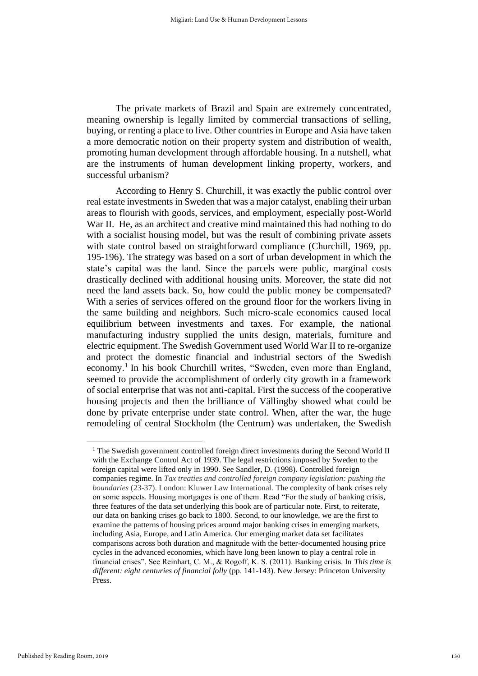The private markets of Brazil and Spain are extremely concentrated, meaning ownership is legally limited by commercial transactions of selling, buying, or renting a place to live. Other countries in Europe and Asia have taken a more democratic notion on their property system and distribution of wealth, promoting human development through affordable housing. In a nutshell, what are the instruments of human development linking property, workers, and successful urbanism?

According to Henry S. Churchill, it was exactly the public control over real estate investments in Sweden that was a major catalyst, enabling their urban areas to flourish with goods, services, and employment, especially post-World War II. He, as an architect and creative mind maintained this had nothing to do with a socialist housing model, but was the result of combining private assets with state control based on straightforward compliance (Churchill, 1969, pp. 195-196). The strategy was based on a sort of urban development in which the state's capital was the land. Since the parcels were public, marginal costs drastically declined with additional housing units. Moreover, the state did not need the land assets back. So, how could the public money be compensated? With a series of services offered on the ground floor for the workers living in the same building and neighbors. Such micro-scale economics caused local equilibrium between investments and taxes. For example, the national manufacturing industry supplied the units design, materials, furniture and electric equipment. The Swedish Government used World War II to re-organize and protect the domestic financial and industrial sectors of the Swedish economy. 1 In his book Churchill writes, "Sweden, even more than England, seemed to provide the accomplishment of orderly city growth in a framework of social enterprise that was not anti-capital. First the success of the cooperative housing projects and then the brilliance of Vällingby showed what could be done by private enterprise under state control. When, after the war, the huge remodeling of central Stockholm (the Centrum) was undertaken, the Swedish

<sup>&</sup>lt;sup>1</sup> The Swedish government controlled foreign direct investments during the Second World II with the Exchange Control Act of 1939. The legal restrictions imposed by Sweden to the foreign capital were lifted only in 1990. See Sandler, D. (1998). Controlled foreign companies regime. In *Tax treaties and controlled foreign company legislation: pushing the boundaries* (23-37). London: Kluwer Law International. The complexity of bank crises rely on some aspects. Housing mortgages is one of them. Read "For the study of banking crisis, three features of the data set underlying this book are of particular note. First, to reiterate, our data on banking crises go back to 1800. Second, to our knowledge, we are the first to examine the patterns of housing prices around major banking crises in emerging markets, including Asia, Europe, and Latin America. Our emerging market data set facilitates comparisons across both duration and magnitude with the better-documented housing price cycles in the advanced economies, which have long been known to play a central role in financial crises". See Reinhart, C. M., & Rogoff, K. S. (2011). Banking crisis. In *This time is different: eight centuries of financial folly* (pp. 141-143). New Jersey: Princeton University Press.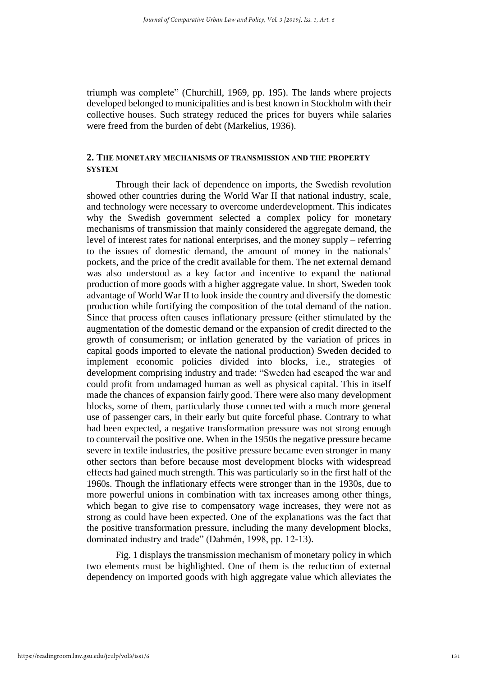triumph was complete" (Churchill, 1969, pp. 195). The lands where projects developed belonged to municipalities and is best known in Stockholm with their collective houses. Such strategy reduced the prices for buyers while salaries were freed from the burden of debt (Markelius, 1936).

# **2. THE MONETARY MECHANISMS OF TRANSMISSION AND THE PROPERTY SYSTEM**

Through their lack of dependence on imports, the Swedish revolution showed other countries during the World War II that national industry, scale, and technology were necessary to overcome underdevelopment. This indicates why the Swedish government selected a complex policy for monetary mechanisms of transmission that mainly considered the aggregate demand, the level of interest rates for national enterprises, and the money supply – referring to the issues of domestic demand, the amount of money in the nationals' pockets, and the price of the credit available for them. The net external demand was also understood as a key factor and incentive to expand the national production of more goods with a higher aggregate value. In short, Sweden took advantage of World War II to look inside the country and diversify the domestic production while fortifying the composition of the total demand of the nation. Since that process often causes inflationary pressure (either stimulated by the augmentation of the domestic demand or the expansion of credit directed to the growth of consumerism; or inflation generated by the variation of prices in capital goods imported to elevate the national production) Sweden decided to implement economic policies divided into blocks, i.e., strategies of development comprising industry and trade: "Sweden had escaped the war and could profit from undamaged human as well as physical capital. This in itself made the chances of expansion fairly good. There were also many development blocks, some of them, particularly those connected with a much more general use of passenger cars, in their early but quite forceful phase. Contrary to what had been expected, a negative transformation pressure was not strong enough to countervail the positive one. When in the 1950s the negative pressure became severe in textile industries, the positive pressure became even stronger in many other sectors than before because most development blocks with widespread effects had gained much strength. This was particularly so in the first half of the 1960s. Though the inflationary effects were stronger than in the 1930s, due to more powerful unions in combination with tax increases among other things, which began to give rise to compensatory wage increases, they were not as strong as could have been expected. One of the explanations was the fact that the positive transformation pressure, including the many development blocks, dominated industry and trade" (Dahmén, 1998, pp. 12-13).

Fig. 1 displays the transmission mechanism of monetary policy in which two elements must be highlighted. One of them is the reduction of external dependency on imported goods with high aggregate value which alleviates the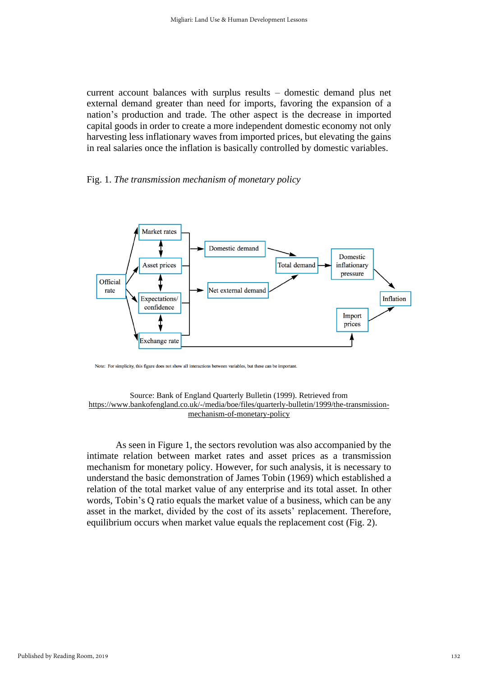current account balances with surplus results – domestic demand plus net external demand greater than need for imports, favoring the expansion of a nation's production and trade. The other aspect is the decrease in imported capital goods in order to create a more independent domestic economy not only harvesting less inflationary waves from imported prices, but elevating the gains in real salaries once the inflation is basically controlled by domestic variables.

## Fig. 1. *The transmission mechanism of monetary policy*



Note: For simplicity, this figure does not show all interactions between variables, but these can be important

#### Source: Bank of England Quarterly Bulletin (1999). Retrieved from [https://www.bankofengland.co.uk/-/media/boe/files/quarterly-bulletin/1999/the-transmission](https://www.bankofengland.co.uk/-/media/boe/files/quarterly-bulletin/1999/the-transmission-mechanism-of-monetary-policy)[mechanism-of-monetary-policy](https://www.bankofengland.co.uk/-/media/boe/files/quarterly-bulletin/1999/the-transmission-mechanism-of-monetary-policy)

As seen in Figure 1, the sectors revolution was also accompanied by the intimate relation between market rates and asset prices as a transmission mechanism for monetary policy. However, for such analysis, it is necessary to understand the basic demonstration of James Tobin (1969) which established a relation of the total market value of any enterprise and its total asset. In other words, Tobin's Q ratio equals the market value of a business, which can be any asset in the market, divided by the cost of its assets' replacement. Therefore, equilibrium occurs when market value equals the replacement cost (Fig. 2).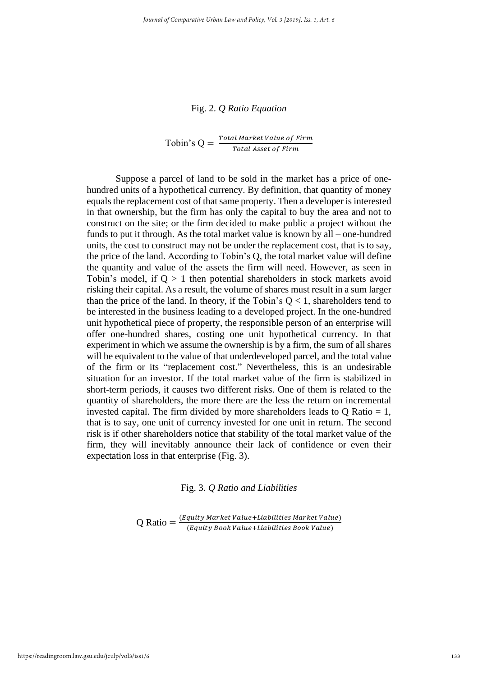## Fig. 2. *Q Ratio Equation*

Tobin's  $Q = \frac{Total Market Value of Firm}{Total Area of Firm}$ Total Asset of Firm

Suppose a parcel of land to be sold in the market has a price of onehundred units of a hypothetical currency. By definition, that quantity of money equals the replacement cost of that same property. Then a developer is interested in that ownership, but the firm has only the capital to buy the area and not to construct on the site; or the firm decided to make public a project without the funds to put it through. As the total market value is known by all – one-hundred units, the cost to construct may not be under the replacement cost, that is to say, the price of the land. According to Tobin's Q, the total market value will define the quantity and value of the assets the firm will need. However, as seen in Tobin's model, if  $Q > 1$  then potential shareholders in stock markets avoid risking their capital. As a result, the volume of shares must result in a sum larger than the price of the land. In theory, if the Tobin's  $Q < 1$ , shareholders tend to be interested in the business leading to a developed project. In the one-hundred unit hypothetical piece of property, the responsible person of an enterprise will offer one-hundred shares, costing one unit hypothetical currency. In that experiment in which we assume the ownership is by a firm, the sum of all shares will be equivalent to the value of that underdeveloped parcel, and the total value of the firm or its "replacement cost." Nevertheless, this is an undesirable situation for an investor. If the total market value of the firm is stabilized in short-term periods, it causes two different risks. One of them is related to the quantity of shareholders, the more there are the less the return on incremental invested capital. The firm divided by more shareholders leads to  $Q$  Ratio = 1, that is to say, one unit of currency invested for one unit in return. The second risk is if other shareholders notice that stability of the total market value of the firm, they will inevitably announce their lack of confidence or even their expectation loss in that enterprise (Fig. 3).

Fig. 3. *Q Ratio and Liabilities*

 $Q$  Ratio  $=$   $\frac{(Equity Market Value + Liabilities Market Value)}{(Eavits Book Value + Liabilities Book Value)}$ (Equity Book Value+Liabilities Book Value)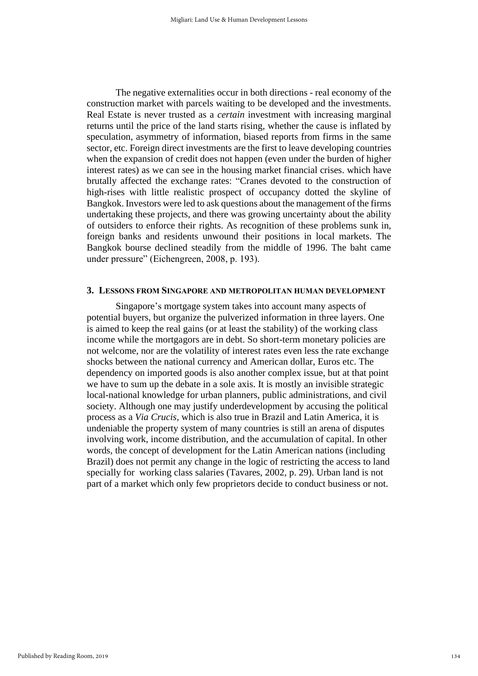The negative externalities occur in both directions - real economy of the construction market with parcels waiting to be developed and the investments. Real Estate is never trusted as a *certain* investment with increasing marginal returns until the price of the land starts rising, whether the cause is inflated by speculation, asymmetry of information, biased reports from firms in the same sector, etc. Foreign direct investments are the first to leave developing countries when the expansion of credit does not happen (even under the burden of higher interest rates) as we can see in the housing market financial crises. which have brutally affected the exchange rates: "Cranes devoted to the construction of high-rises with little realistic prospect of occupancy dotted the skyline of Bangkok. Investors were led to ask questions about the management of the firms undertaking these projects, and there was growing uncertainty about the ability of outsiders to enforce their rights. As recognition of these problems sunk in, foreign banks and residents unwound their positions in local markets. The Bangkok bourse declined steadily from the middle of 1996. The baht came under pressure" (Eichengreen, 2008, p. 193).

#### **3. LESSONS FROM SINGAPORE AND METROPOLITAN HUMAN DEVELOPMENT**

Singapore's mortgage system takes into account many aspects of potential buyers, but organize the pulverized information in three layers. One is aimed to keep the real gains (or at least the stability) of the working class income while the mortgagors are in debt. So short-term monetary policies are not welcome, nor are the volatility of interest rates even less the rate exchange shocks between the national currency and American dollar, Euros etc. The dependency on imported goods is also another complex issue, but at that point we have to sum up the debate in a sole axis. It is mostly an invisible strategic local-national knowledge for urban planners, public administrations, and civil society. Although one may justify underdevelopment by accusing the political process as a *Via Crucis*, which is also true in Brazil and Latin America, it is undeniable the property system of many countries is still an arena of disputes involving work, income distribution, and the accumulation of capital. In other words, the concept of development for the Latin American nations (including Brazil) does not permit any change in the logic of restricting the access to land specially for working class salaries (Tavares, 2002, p. 29). Urban land is not part of a market which only few proprietors decide to conduct business or not.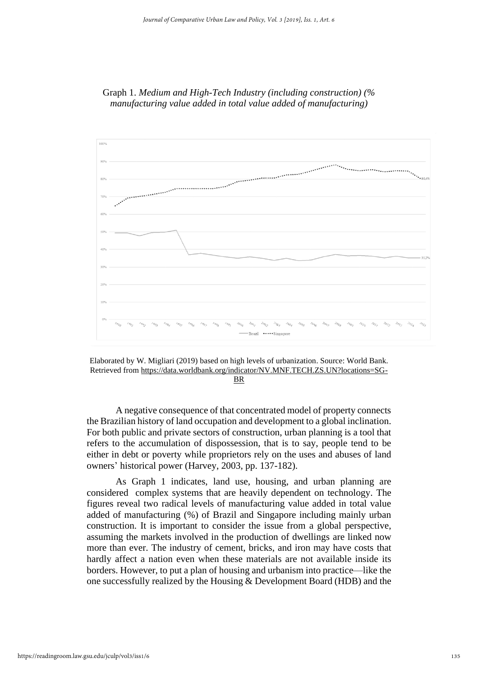



Elaborated by W. Migliari (2019) based on high levels of urbanization. Source: World Bank. Retrieved from [https://data.worldbank.org/indicator/NV.MNF.TECH.ZS.UN?locations=SG-](https://data.worldbank.org/indicator/NV.MNF.TECH.ZS.UN?locations=SG-BR)

[BR](https://data.worldbank.org/indicator/NV.MNF.TECH.ZS.UN?locations=SG-BR)

A negative consequence of that concentrated model of property connects the Brazilian history of land occupation and development to a global inclination. For both public and private sectors of construction, urban planning is a tool that refers to the accumulation of dispossession, that is to say, people tend to be either in debt or poverty while proprietors rely on the uses and abuses of land owners' historical power (Harvey, 2003, pp. 137-182).

As Graph 1 indicates, land use, housing, and urban planning are considered complex systems that are heavily dependent on technology. The figures reveal two radical levels of manufacturing value added in total value added of manufacturing (%) of Brazil and Singapore including mainly urban construction. It is important to consider the issue from a global perspective, assuming the markets involved in the production of dwellings are linked now more than ever. The industry of cement, bricks, and iron may have costs that hardly affect a nation even when these materials are not available inside its borders. However, to put a plan of housing and urbanism into practice—like the one successfully realized by the Housing & Development Board (HDB) and the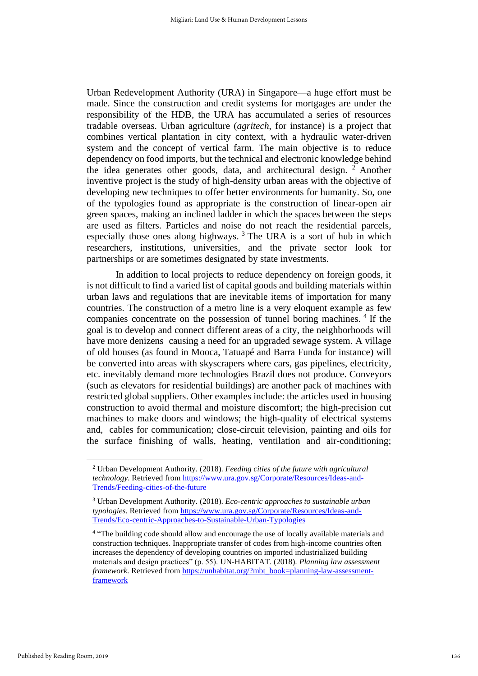Urban Redevelopment Authority (URA) in Singapore—a huge effort must be made. Since the construction and credit systems for mortgages are under the responsibility of the HDB, the URA has accumulated a series of resources tradable overseas. Urban agriculture (*agritech*, for instance) is a project that combines vertical plantation in city context, with a hydraulic water-driven system and the concept of vertical farm. The main objective is to reduce dependency on food imports, but the technical and electronic knowledge behind the idea generates other goods, data, and architectural design. <sup>2</sup> Another inventive project is the study of high-density urban areas with the objective of developing new techniques to offer better environments for humanity. So, one of the typologies found as appropriate is the construction of linear-open air green spaces, making an inclined ladder in which the spaces between the steps are used as filters. Particles and noise do not reach the residential parcels, especially those ones along highways. <sup>3</sup> The URA is a sort of hub in which researchers, institutions, universities, and the private sector look for partnerships or are sometimes designated by state investments.

In addition to local projects to reduce dependency on foreign goods, it is not difficult to find a varied list of capital goods and building materials within urban laws and regulations that are inevitable items of importation for many countries. The construction of a metro line is a very eloquent example as few companies concentrate on the possession of tunnel boring machines. 4 If the goal is to develop and connect different areas of a city, the neighborhoods will have more denizens causing a need for an upgraded sewage system. A village of old houses (as found in Mooca, Tatuapé and Barra Funda for instance) will be converted into areas with skyscrapers where cars, gas pipelines, electricity, etc. inevitably demand more technologies Brazil does not produce. Conveyors (such as elevators for residential buildings) are another pack of machines with restricted global suppliers. Other examples include: the articles used in housing construction to avoid thermal and moisture discomfort; the high-precision cut machines to make doors and windows; the high-quality of electrical systems and, cables for communication; close-circuit television, painting and oils for the surface finishing of walls, heating, ventilation and air-conditioning;

<sup>2</sup> Urban Development Authority. (2018). *Feeding cities of the future with agricultural technology*. Retrieved from [https://www.ura.gov.sg/Corporate/Resources/Ideas-and-](https://www.ura.gov.sg/Corporate/Resources/Ideas-and-Trends/Feeding-cities-of-the-future)[Trends/Feeding-cities-of-the-future](https://www.ura.gov.sg/Corporate/Resources/Ideas-and-Trends/Feeding-cities-of-the-future)

<sup>3</sup> Urban Development Authority. (2018). *Eco-centric approaches to sustainable urban typologies*. Retrieved fro[m https://www.ura.gov.sg/Corporate/Resources/Ideas-and-](https://www.ura.gov.sg/Corporate/Resources/Ideas-and-Trends/Eco-centric-Approaches-to-Sustainable-Urban-Typologies)[Trends/Eco-centric-Approaches-to-Sustainable-Urban-Typologies](https://www.ura.gov.sg/Corporate/Resources/Ideas-and-Trends/Eco-centric-Approaches-to-Sustainable-Urban-Typologies)

<sup>&</sup>lt;sup>4</sup> "The building code should allow and encourage the use of locally available materials and construction techniques. Inappropriate transfer of codes from high-income countries often increases the dependency of developing countries on imported industrialized building materials and design practices" (p. 55). UN-HABITAT. (2018). *Planning law assessment framework*. Retrieved from [https://unhabitat.org/?mbt\\_book=planning-law-assessment](https://unhabitat.org/?mbt_book=planning-law-assessment-framework)[framework](https://unhabitat.org/?mbt_book=planning-law-assessment-framework)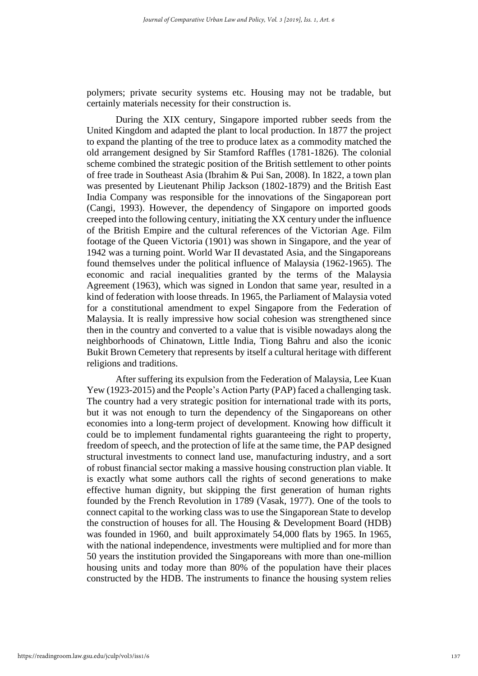polymers; private security systems etc. Housing may not be tradable, but certainly materials necessity for their construction is.

During the XIX century, Singapore imported rubber seeds from the United Kingdom and adapted the plant to local production. In 1877 the project to expand the planting of the tree to produce latex as a commodity matched the old arrangement designed by Sir Stamford Raffles (1781-1826). The colonial scheme combined the strategic position of the British settlement to other points of free trade in Southeast Asia (Ibrahim & Pui San, 2008). In 1822, a town plan was presented by Lieutenant Philip Jackson (1802-1879) and the British East India Company was responsible for the innovations of the Singaporean port (Cangi, 1993). However, the dependency of Singapore on imported goods creeped into the following century, initiating the XX century under the influence of the British Empire and the cultural references of the Victorian Age. Film footage of the Queen Victoria (1901) was shown in Singapore, and the year of 1942 was a turning point. World War II devastated Asia, and the Singaporeans found themselves under the political influence of Malaysia (1962-1965). The economic and racial inequalities granted by the terms of the Malaysia Agreement (1963), which was signed in London that same year, resulted in a kind of federation with loose threads. In 1965, the Parliament of Malaysia voted for a constitutional amendment to expel Singapore from the Federation of Malaysia. It is really impressive how social cohesion was strengthened since then in the country and converted to a value that is visible nowadays along the neighborhoods of Chinatown, Little India, Tiong Bahru and also the iconic Bukit Brown Cemetery that represents by itself a cultural heritage with different religions and traditions.

After suffering its expulsion from the Federation of Malaysia, Lee Kuan Yew (1923-2015) and the People's Action Party (PAP) faced a challenging task. The country had a very strategic position for international trade with its ports, but it was not enough to turn the dependency of the Singaporeans on other economies into a long-term project of development. Knowing how difficult it could be to implement fundamental rights guaranteeing the right to property, freedom of speech, and the protection of life at the same time, the PAP designed structural investments to connect land use, manufacturing industry, and a sort of robust financial sector making a massive housing construction plan viable. It is exactly what some authors call the rights of second generations to make effective human dignity, but skipping the first generation of human rights founded by the French Revolution in 1789 (Vasak, 1977). One of the tools to connect capital to the working class was to use the Singaporean State to develop the construction of houses for all. The Housing & Development Board (HDB) was founded in 1960, and built approximately 54,000 flats by 1965. In 1965, with the national independence, investments were multiplied and for more than 50 years the institution provided the Singaporeans with more than one-million housing units and today more than 80% of the population have their places constructed by the HDB. The instruments to finance the housing system relies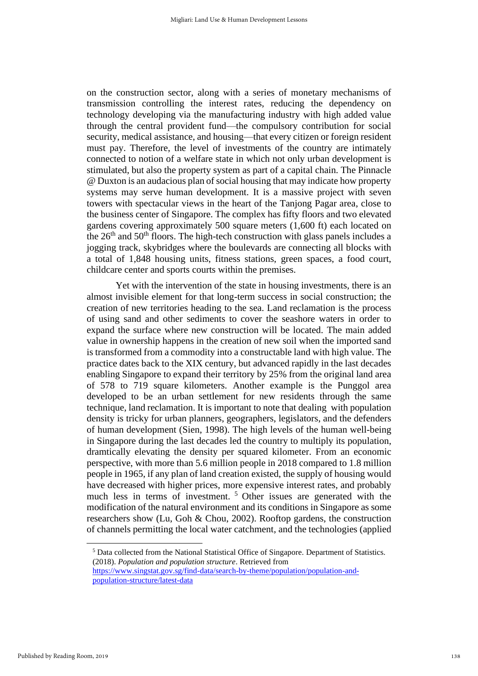on the construction sector, along with a series of monetary mechanisms of transmission controlling the interest rates, reducing the dependency on technology developing via the manufacturing industry with high added value through the central provident fund—the compulsory contribution for social security, medical assistance, and housing—that every citizen or foreign resident must pay. Therefore, the level of investments of the country are intimately connected to notion of a welfare state in which not only urban development is stimulated, but also the property system as part of a capital chain. The Pinnacle @ Duxton is an audacious plan of social housing that may indicate how property systems may serve human development. It is a massive project with seven towers with spectacular views in the heart of the Tanjong Pagar area, close to the business center of Singapore. The complex has fifty floors and two elevated gardens covering approximately 500 square meters (1,600 ft) each located on the 26th and 50th floors. The high-tech construction with glass panels includes a jogging track, skybridges where the boulevards are connecting all blocks with a total of 1,848 housing units, fitness stations, green spaces, a food court, childcare center and sports courts within the premises.

Yet with the intervention of the state in housing investments, there is an almost invisible element for that long-term success in social construction; the creation of new territories heading to the sea. Land reclamation is the process of using sand and other sediments to cover the seashore waters in order to expand the surface where new construction will be located. The main added value in ownership happens in the creation of new soil when the imported sand is transformed from a commodity into a constructable land with high value. The practice dates back to the XIX century, but advanced rapidly in the last decades enabling Singapore to expand their territory by 25% from the original land area of 578 to 719 square kilometers. Another example is the Punggol area developed to be an urban settlement for new residents through the same technique, land reclamation. It is important to note that dealing with population density is tricky for urban planners, geographers, legislators, and the defenders of human development (Sien, 1998). The high levels of the human well-being in Singapore during the last decades led the country to multiply its population, dramtically elevating the density per squared kilometer. From an economic perspective, with more than 5.6 million people in 2018 compared to 1.8 million people in 1965, if any plan of land creation existed, the supply of housing would have decreased with higher prices, more expensive interest rates, and probably much less in terms of investment.<sup>5</sup> Other issues are generated with the modification of the natural environment and its conditions in Singapore as some researchers show (Lu, Goh & Chou, 2002). Rooftop gardens, the construction of channels permitting the local water catchment, and the technologies (applied

<sup>5</sup> Data collected from the National Statistical Office of Singapore. Department of Statistics. (2018). *Population and population structure*. Retrieved from

[https://www.singstat.gov.sg/find-data/search-by-theme/population/population-and](https://www.singstat.gov.sg/find-data/search-by-theme/population/population-and-population-structure/latest-data)[population-structure/latest-data](https://www.singstat.gov.sg/find-data/search-by-theme/population/population-and-population-structure/latest-data)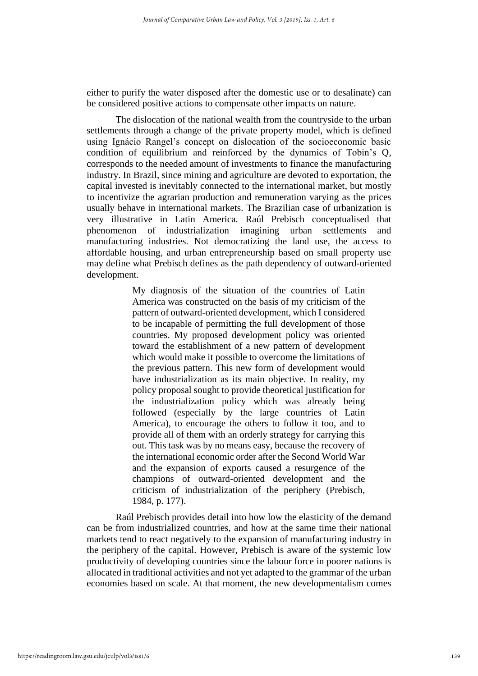either to purify the water disposed after the domestic use or to desalinate) can be considered positive actions to compensate other impacts on nature.

The dislocation of the national wealth from the countryside to the urban settlements through a change of the private property model, which is defined using Ignácio Rangel's concept on dislocation of the socioeconomic basic condition of equilibrium and reinforced by the dynamics of Tobin's Q, corresponds to the needed amount of investments to finance the manufacturing industry. In Brazil, since mining and agriculture are devoted to exportation, the capital invested is inevitably connected to the international market, but mostly to incentivize the agrarian production and remuneration varying as the prices usually behave in international markets. The Brazilian case of urbanization is very illustrative in Latin America. Raúl Prebisch conceptualised that phenomenon of industrialization imagining urban settlements and manufacturing industries. Not democratizing the land use, the access to affordable housing, and urban entrepreneurship based on small property use may define what Prebisch defines as the path dependency of outward-oriented development.

> My diagnosis of the situation of the countries of Latin America was constructed on the basis of my criticism of the pattern of outward-oriented development, which I considered to be incapable of permitting the full development of those countries. My proposed development policy was oriented toward the establishment of a new pattern of development which would make it possible to overcome the limitations of the previous pattern. This new form of development would have industrialization as its main objective. In reality, my policy proposal sought to provide theoretical justification for the industrialization policy which was already being followed (especially by the large countries of Latin America), to encourage the others to follow it too, and to provide all of them with an orderly strategy for carrying this out. This task was by no means easy, because the recovery of the international economic order after the Second World War and the expansion of exports caused a resurgence of the champions of outward-oriented development and the criticism of industrialization of the periphery (Prebisch, 1984, p. 177).

Raúl Prebisch provides detail into how low the elasticity of the demand can be from industrialized countries, and how at the same time their national markets tend to react negatively to the expansion of manufacturing industry in the periphery of the capital. However, Prebisch is aware of the systemic low productivity of developing countries since the labour force in poorer nations is allocated in traditional activities and not yet adapted to the grammar of the urban economies based on scale. At that moment, the new developmentalism comes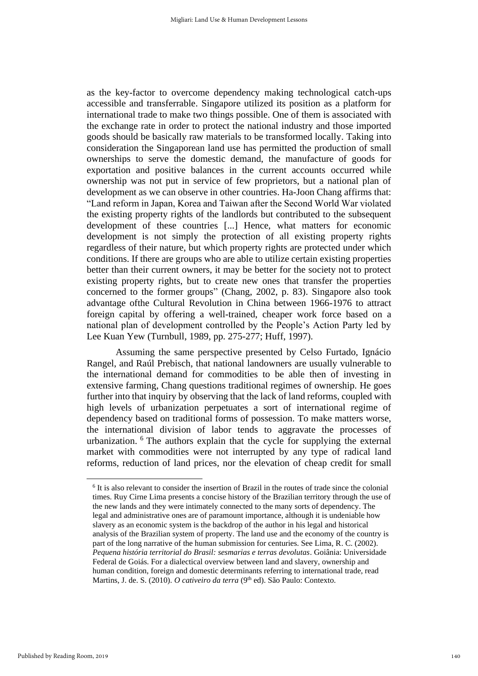as the key-factor to overcome dependency making technological catch-ups accessible and transferrable. Singapore utilized its position as a platform for international trade to make two things possible. One of them is associated with the exchange rate in order to protect the national industry and those imported goods should be basically raw materials to be transformed locally. Taking into consideration the Singaporean land use has permitted the production of small ownerships to serve the domestic demand, the manufacture of goods for exportation and positive balances in the current accounts occurred while ownership was not put in service of few proprietors, but a national plan of development as we can observe in other countries. Ha-Joon Chang affirms that: "Land reform in Japan, Korea and Taiwan after the Second World War violated the existing property rights of the landlords but contributed to the subsequent development of these countries [...] Hence, what matters for economic development is not simply the protection of all existing property rights regardless of their nature, but which property rights are protected under which conditions. If there are groups who are able to utilize certain existing properties better than their current owners, it may be better for the society not to protect existing property rights, but to create new ones that transfer the properties concerned to the former groups" (Chang, 2002, p. 83). Singapore also took advantage ofthe Cultural Revolution in China between 1966-1976 to attract foreign capital by offering a well-trained, cheaper work force based on a national plan of development controlled by the People's Action Party led by Lee Kuan Yew (Turnbull, 1989, pp. 275-277; Huff, 1997).

Assuming the same perspective presented by Celso Furtado, Ignácio Rangel, and Raúl Prebisch, that national landowners are usually vulnerable to the international demand for commodities to be able then of investing in extensive farming, Chang questions traditional regimes of ownership. He goes further into that inquiry by observing that the lack of land reforms, coupled with high levels of urbanization perpetuates a sort of international regime of dependency based on traditional forms of possession. To make matters worse, the international division of labor tends to aggravate the processes of urbanization. <sup>6</sup> The authors explain that the cycle for supplying the external market with commodities were not interrupted by any type of radical land reforms, reduction of land prices, nor the elevation of cheap credit for small

<sup>&</sup>lt;sup>6</sup> It is also relevant to consider the insertion of Brazil in the routes of trade since the colonial times. Ruy Cirne Lima presents a concise history of the Brazilian territory through the use of the new lands and they were intimately connected to the many sorts of dependency. The legal and administrative ones are of paramount importance, although it is undeniable how slavery as an economic system is the backdrop of the author in his legal and historical analysis of the Brazilian system of property. The land use and the economy of the country is part of the long narrative of the human submission for centuries. See Lima, R. C. (2002). *Pequena história territorial do Brasil: sesmarias e terras devolutas*. Goiânia: Universidade Federal de Goiás. For a dialectical overview between land and slavery, ownership and human condition, foreign and domestic determinants referring to international trade, read Martins, J. de. S. (2010). *O cativeiro da terra* (9<sup>th</sup> ed). São Paulo: Contexto.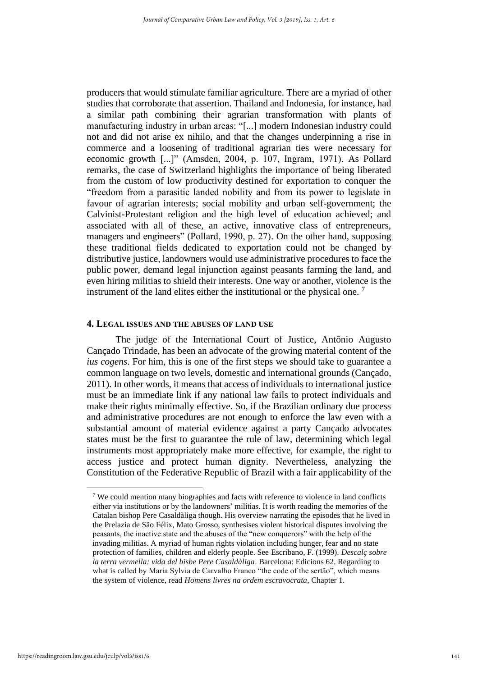producers that would stimulate familiar agriculture. There are a myriad of other studies that corroborate that assertion. Thailand and Indonesia, for instance, had a similar path combining their agrarian transformation with plants of manufacturing industry in urban areas: "[...] modern Indonesian industry could not and did not arise ex nihilo, and that the changes underpinning a rise in commerce and a loosening of traditional agrarian ties were necessary for economic growth [...]" (Amsden, 2004, p. 107, Ingram, 1971). As Pollard remarks, the case of Switzerland highlights the importance of being liberated from the custom of low productivity destined for exportation to conquer the "freedom from a parasitic landed nobility and from its power to legislate in favour of agrarian interests; social mobility and urban self-government; the Calvinist-Protestant religion and the high level of education achieved; and associated with all of these, an active, innovative class of entrepreneurs, managers and engineers" (Pollard, 1990, p. 27). On the other hand, supposing these traditional fields dedicated to exportation could not be changed by distributive justice, landowners would use administrative procedures to face the public power, demand legal injunction against peasants farming the land, and even hiring militias to shield their interests. One way or another, violence is the instrument of the land elites either the institutional or the physical one.<sup>7</sup>

#### **4. LEGAL ISSUES AND THE ABUSES OF LAND USE**

The judge of the International Court of Justice, Antônio Augusto Cançado Trindade, has been an advocate of the growing material content of the *ius cogens*. For him, this is one of the first steps we should take to guarantee a common language on two levels, domestic and international grounds (Cançado, 2011). In other words, it means that access of individuals to international justice must be an immediate link if any national law fails to protect individuals and make their rights minimally effective. So, if the Brazilian ordinary due process and administrative procedures are not enough to enforce the law even with a substantial amount of material evidence against a party Cançado advocates states must be the first to guarantee the rule of law, determining which legal instruments most appropriately make more effective, for example, the right to access justice and protect human dignity. Nevertheless, analyzing the Constitution of the Federative Republic of Brazil with a fair applicability of the

<sup>7</sup> We could mention many biographies and facts with reference to violence in land conflicts either via institutions or by the landowners' militias. It is worth reading the memories of the Catalan bishop Pere Casaldàliga though. His overview narrating the episodes that he lived in the Prelazia de São Félix, Mato Grosso, synthesises violent historical disputes involving the peasants, the inactive state and the abuses of the "new conquerors" with the help of the invading militias. A myriad of human rights violation including hunger, fear and no state protection of families, children and elderly people. See Escribano, F. (1999). *Descalç sobre la terra vermella: vida del bisbe Pere Casaldàliga*. Barcelona: Edicions 62. Regarding to what is called by Maria Sylvia de Carvalho Franco "the code of the sertão", which means the system of violence, read *Homens livres na ordem escravocrata*, Chapter 1.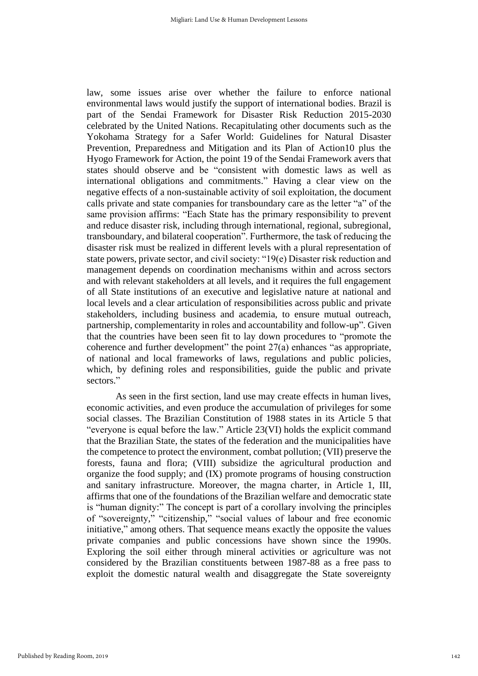law, some issues arise over whether the failure to enforce national environmental laws would justify the support of international bodies. Brazil is part of the Sendai Framework for Disaster Risk Reduction 2015-2030 celebrated by the United Nations. Recapitulating other documents such as the Yokohama Strategy for a Safer World: Guidelines for Natural Disaster Prevention, Preparedness and Mitigation and its Plan of Action10 plus the Hyogo Framework for Action, the point 19 of the Sendai Framework avers that states should observe and be "consistent with domestic laws as well as international obligations and commitments." Having a clear view on the negative effects of a non-sustainable activity of soil exploitation, the document calls private and state companies for transboundary care as the letter "a" of the same provision affirms: "Each State has the primary responsibility to prevent and reduce disaster risk, including through international, regional, subregional, transboundary, and bilateral cooperation". Furthermore, the task of reducing the disaster risk must be realized in different levels with a plural representation of state powers, private sector, and civil society: "19(e) Disaster risk reduction and management depends on coordination mechanisms within and across sectors and with relevant stakeholders at all levels, and it requires the full engagement of all State institutions of an executive and legislative nature at national and local levels and a clear articulation of responsibilities across public and private stakeholders, including business and academia, to ensure mutual outreach, partnership, complementarity in roles and accountability and follow-up". Given that the countries have been seen fit to lay down procedures to "promote the coherence and further development" the point 27(a) enhances "as appropriate, of national and local frameworks of laws, regulations and public policies, which, by defining roles and responsibilities, guide the public and private sectors."

As seen in the first section, land use may create effects in human lives, economic activities, and even produce the accumulation of privileges for some social classes. The Brazilian Constitution of 1988 states in its Article 5 that "everyone is equal before the law." Article 23(VI) holds the explicit command that the Brazilian State, the states of the federation and the municipalities have the competence to protect the environment, combat pollution; (VII) preserve the forests, fauna and flora; (VIII) subsidize the agricultural production and organize the food supply; and (IX) promote programs of housing construction and sanitary infrastructure. Moreover, the magna charter, in Article 1, III, affirms that one of the foundations of the Brazilian welfare and democratic state is "human dignity:" The concept is part of a corollary involving the principles of "sovereignty," "citizenship," "social values of labour and free economic initiative," among others. That sequence means exactly the opposite the values private companies and public concessions have shown since the 1990s. Exploring the soil either through mineral activities or agriculture was not considered by the Brazilian constituents between 1987-88 as a free pass to exploit the domestic natural wealth and disaggregate the State sovereignty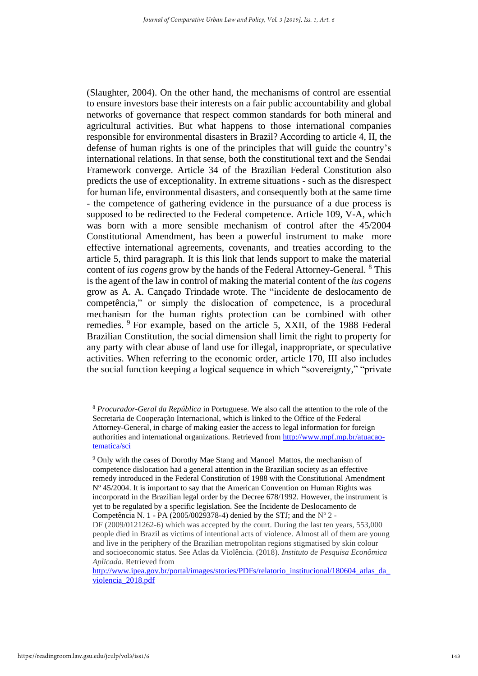(Slaughter, 2004). On the other hand, the mechanisms of control are essential to ensure investors base their interests on a fair public accountability and global networks of governance that respect common standards for both mineral and agricultural activities. But what happens to those international companies responsible for environmental disasters in Brazil? According to article 4, II, the defense of human rights is one of the principles that will guide the country's international relations. In that sense, both the constitutional text and the Sendai Framework converge. Article 34 of the Brazilian Federal Constitution also predicts the use of exceptionality. In extreme situations - such as the disrespect for human life, environmental disasters, and consequently both at the same time - the competence of gathering evidence in the pursuance of a due process is supposed to be redirected to the Federal competence. Article 109, V-A, which was born with a more sensible mechanism of control after the 45/2004 Constitutional Amendment, has been a powerful instrument to make more effective international agreements, covenants, and treaties according to the article 5, third paragraph. It is this link that lends support to make the material content of *ius cogens* grow by the hands of the Federal Attorney-General. <sup>8</sup> This is the agent of the law in control of making the material content of the *ius cogens* grow as A. A. Cançado Trindade wrote. The "incidente de deslocamento de competência," or simply the dislocation of competence, is a procedural mechanism for the human rights protection can be combined with other remedies. <sup>9</sup> For example, based on the article 5, XXII, of the 1988 Federal Brazilian Constitution, the social dimension shall limit the right to property for any party with clear abuse of land use for illegal, inappropriate, or speculative activities. When referring to the economic order, article 170, III also includes the social function keeping a logical sequence in which "sovereignty," "private

<sup>8</sup> *Procurador-Geral da República* in Portuguese. We also call the attention to the role of the Secretaria de Cooperação Internacional, which is linked to the Office of the Federal Attorney-General, in charge of making easier the access to legal information for foreign authorities and international organizations. Retrieved from [http://www.mpf.mp.br/atuacao](http://www.mpf.mp.br/atuacao-tematica/sci)[tematica/sci](http://www.mpf.mp.br/atuacao-tematica/sci)

<sup>&</sup>lt;sup>9</sup> Only with the cases of Dorothy Mae Stang and Manoel Mattos, the mechanism of competence dislocation had a general attention in the Brazilian society as an effective remedy introduced in the Federal Constitution of 1988 with the Constitutional Amendment Nº 45/2004. It is important to say that the American Convention on Human Rights was incorporatd in the Brazilian legal order by the Decree 678/1992. However, the instrument is yet to be regulated by a specific legislation. See the Incidente de Deslocamento de Competência N. 1 - PA (2005/0029378-4) denied by the STJ; and the  $N^{\circ}$  2 -

DF (2009/0121262-6) which was accepted by the court. During the last ten years, 553,000 people died in Brazil as victims of intentional acts of violence. Almost all of them are young and live in the periphery of the Brazilian metropolitan regions stigmatised by skin colour and socioeconomic status. See Atlas da Violência. (2018). *Instituto de Pesquisa Econômica Aplicada*. Retrieved from

http://www.ipea.gov.br/portal/images/stories/PDFs/relatorio\_institucional/180604\_atlas\_da [violencia\\_2018.pdf](http://www.ipea.gov.br/portal/images/stories/PDFs/relatorio_institucional/180604_atlas_da_violencia_2018.pdf)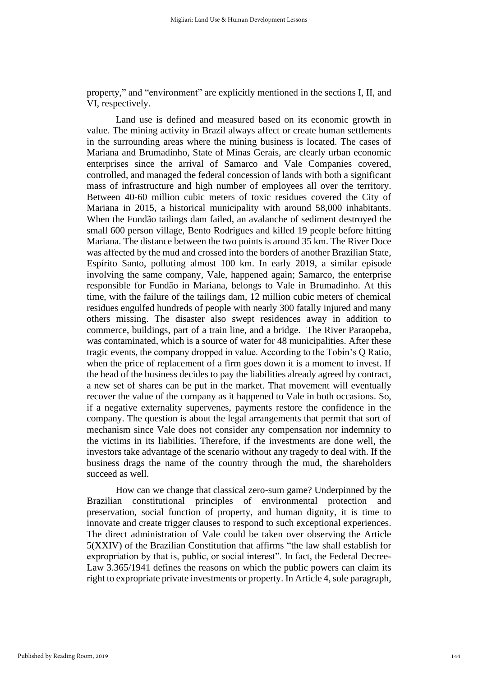property," and "environment" are explicitly mentioned in the sections I, II, and VI, respectively.

Land use is defined and measured based on its economic growth in value. The mining activity in Brazil always affect or create human settlements in the surrounding areas where the mining business is located. The cases of Mariana and Brumadinho, State of Minas Gerais, are clearly urban economic enterprises since the arrival of Samarco and Vale Companies covered, controlled, and managed the federal concession of lands with both a significant mass of infrastructure and high number of employees all over the territory. Between 40-60 million cubic meters of toxic residues covered the City of Mariana in 2015, a historical municipality with around 58,000 inhabitants. When the Fundão tailings dam failed, an avalanche of sediment destroyed the small 600 person village, Bento Rodrigues and killed 19 people before hitting Mariana. The distance between the two points is around 35 km. The River Doce was affected by the mud and crossed into the borders of another Brazilian State, Espírito Santo, polluting almost 100 km. In early 2019, a similar episode involving the same company, Vale, happened again; Samarco, the enterprise responsible for Fundão in Mariana, belongs to Vale in Brumadinho. At this time, with the failure of the tailings dam, 12 million cubic meters of chemical residues engulfed hundreds of people with nearly 300 fatally injured and many others missing. The disaster also swept residences away in addition to commerce, buildings, part of a train line, and a bridge. The River Paraopeba, was contaminated, which is a source of water for 48 municipalities. After these tragic events, the company dropped in value. According to the Tobin's Q Ratio, when the price of replacement of a firm goes down it is a moment to invest. If the head of the business decides to pay the liabilities already agreed by contract, a new set of shares can be put in the market. That movement will eventually recover the value of the company as it happened to Vale in both occasions. So, if a negative externality supervenes, payments restore the confidence in the company. The question is about the legal arrangements that permit that sort of mechanism since Vale does not consider any compensation nor indemnity to the victims in its liabilities. Therefore, if the investments are done well, the investors take advantage of the scenario without any tragedy to deal with. If the business drags the name of the country through the mud, the shareholders succeed as well.

How can we change that classical zero-sum game? Underpinned by the Brazilian constitutional principles of environmental protection and preservation, social function of property, and human dignity, it is time to innovate and create trigger clauses to respond to such exceptional experiences. The direct administration of Vale could be taken over observing the Article 5(XXIV) of the Brazilian Constitution that affirms "the law shall establish for expropriation by that is, public, or social interest". In fact, the Federal Decree-Law 3.365/1941 defines the reasons on which the public powers can claim its right to expropriate private investments or property. In Article 4, sole paragraph,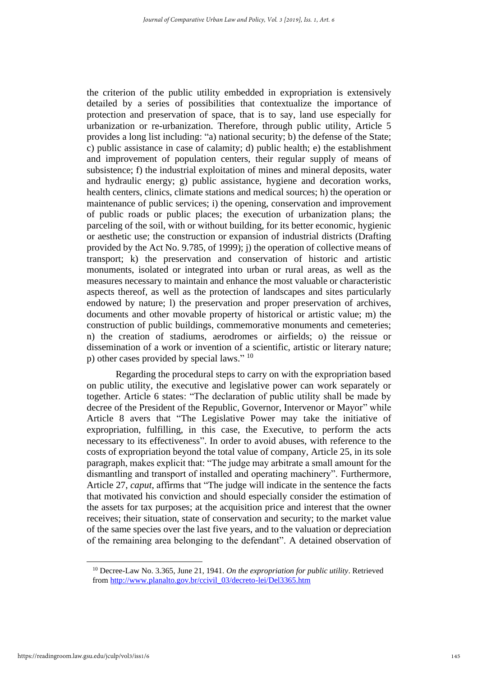the criterion of the public utility embedded in expropriation is extensively detailed by a series of possibilities that contextualize the importance of protection and preservation of space, that is to say, land use especially for urbanization or re-urbanization. Therefore, through public utility, Article 5 provides a long list including: "a) national security; b) the defense of the State; c) public assistance in case of calamity; d) public health; e) the establishment and improvement of population centers, their regular supply of means of subsistence; f) the industrial exploitation of mines and mineral deposits, water and hydraulic energy; g) public assistance, hygiene and decoration works, health centers, clinics, climate stations and medical sources; h) the operation or maintenance of public services; i) the opening, conservation and improvement of public roads or public places; the execution of urbanization plans; the parceling of the soil, with or without building, for its better economic, hygienic or aesthetic use; the construction or expansion of industrial districts (Drafting provided by the Act No. 9.785, of 1999); j) the operation of collective means of transport; k) the preservation and conservation of historic and artistic monuments, isolated or integrated into urban or rural areas, as well as the measures necessary to maintain and enhance the most valuable or characteristic aspects thereof, as well as the protection of landscapes and sites particularly endowed by nature; l) the preservation and proper preservation of archives, documents and other movable property of historical or artistic value; m) the construction of public buildings, commemorative monuments and cemeteries; n) the creation of stadiums, aerodromes or airfields; o) the reissue or dissemination of a work or invention of a scientific, artistic or literary nature; p) other cases provided by special laws."  $10$ 

Regarding the procedural steps to carry on with the expropriation based on public utility, the executive and legislative power can work separately or together. Article 6 states: "The declaration of public utility shall be made by decree of the President of the Republic, Governor, Intervenor or Mayor" while Article 8 avers that "The Legislative Power may take the initiative of expropriation, fulfilling, in this case, the Executive, to perform the acts necessary to its effectiveness". In order to avoid abuses, with reference to the costs of expropriation beyond the total value of company, Article 25, in its sole paragraph, makes explicit that: "The judge may arbitrate a small amount for the dismantling and transport of installed and operating machinery". Furthermore, Article 27, *caput*, affirms that "The judge will indicate in the sentence the facts that motivated his conviction and should especially consider the estimation of the assets for tax purposes; at the acquisition price and interest that the owner receives; their situation, state of conservation and security; to the market value of the same species over the last five years, and to the valuation or depreciation of the remaining area belonging to the defendant". A detained observation of

<sup>10</sup> Decree-Law No. 3.365, June 21, 1941. *On the expropriation for public utility*. Retrieved from [http://www.planalto.gov.br/ccivil\\_03/decreto-lei/Del3365.htm](http://www.planalto.gov.br/ccivil_03/decreto-lei/Del3365.htm)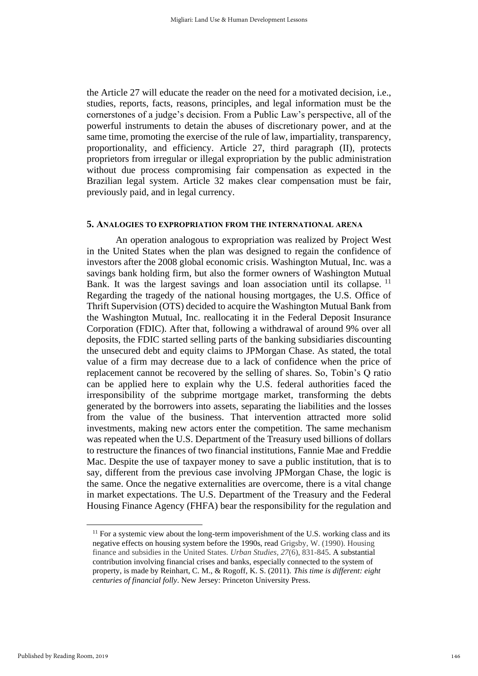the Article 27 will educate the reader on the need for a motivated decision, i.e., studies, reports, facts, reasons, principles, and legal information must be the cornerstones of a judge's decision. From a Public Law's perspective, all of the powerful instruments to detain the abuses of discretionary power, and at the same time, promoting the exercise of the rule of law, impartiality, transparency, proportionality, and efficiency. Article 27, third paragraph (II), protects proprietors from irregular or illegal expropriation by the public administration without due process compromising fair compensation as expected in the Brazilian legal system. Article 32 makes clear compensation must be fair, previously paid, and in legal currency.

## **5. ANALOGIES TO EXPROPRIATION FROM THE INTERNATIONAL ARENA**

An operation analogous to expropriation was realized by Project West in the United States when the plan was designed to regain the confidence of investors after the 2008 global economic crisis. Washington Mutual, Inc. was a savings bank holding firm, but also the former owners of Washington Mutual Bank. It was the largest savings and loan association until its collapse.<sup>11</sup> Regarding the tragedy of the national housing mortgages, the U.S. Office of Thrift Supervision (OTS) decided to acquire the Washington Mutual Bank from the Washington Mutual, Inc. reallocating it in the Federal Deposit Insurance Corporation (FDIC). After that, following a withdrawal of around 9% over all deposits, the FDIC started selling parts of the banking subsidiaries discounting the unsecured debt and equity claims to JPMorgan Chase. As stated, the total value of a firm may decrease due to a lack of confidence when the price of replacement cannot be recovered by the selling of shares. So, Tobin's Q ratio can be applied here to explain why the U.S. federal authorities faced the irresponsibility of the subprime mortgage market, transforming the debts generated by the borrowers into assets, separating the liabilities and the losses from the value of the business. That intervention attracted more solid investments, making new actors enter the competition. The same mechanism was repeated when the U.S. Department of the Treasury used billions of dollars to restructure the finances of two financial institutions, Fannie Mae and Freddie Mac. Despite the use of taxpayer money to save a public institution, that is to say, different from the previous case involving JPMorgan Chase, the logic is the same. Once the negative externalities are overcome, there is a vital change in market expectations. The U.S. Department of the Treasury and the Federal Housing Finance Agency (FHFA) bear the responsibility for the regulation and

 $11$  For a systemic view about the long-term impoverishment of the U.S. working class and its negative effects on housing system before the 1990s, read Grigsby, W. (1990). Housing finance and subsidies in the United States. *Urban Studies, 27*(6), 831-845. A substantial contribution involving financial crises and banks, especially connected to the system of property, is made by Reinhart, C. M., & Rogoff, K. S. (2011). *This time is different: eight centuries of financial folly*. New Jersey: Princeton University Press.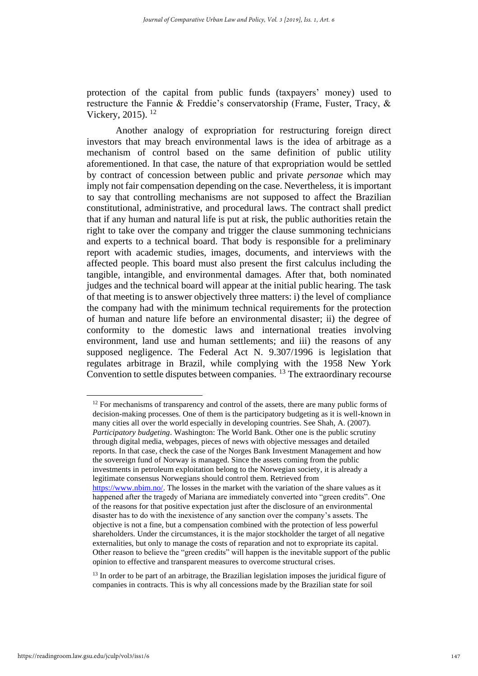protection of the capital from public funds (taxpayers' money) used to restructure the Fannie & Freddie's conservatorship (Frame, Fuster, Tracy, & Vickery, 2015). <sup>12</sup>

Another analogy of expropriation for restructuring foreign direct investors that may breach environmental laws is the idea of arbitrage as a mechanism of control based on the same definition of public utility aforementioned. In that case, the nature of that expropriation would be settled by contract of concession between public and private *personae* which may imply not fair compensation depending on the case. Nevertheless, it is important to say that controlling mechanisms are not supposed to affect the Brazilian constitutional, administrative, and procedural laws. The contract shall predict that if any human and natural life is put at risk, the public authorities retain the right to take over the company and trigger the clause summoning technicians and experts to a technical board. That body is responsible for a preliminary report with academic studies, images, documents, and interviews with the affected people. This board must also present the first calculus including the tangible, intangible, and environmental damages. After that, both nominated judges and the technical board will appear at the initial public hearing. The task of that meeting is to answer objectively three matters: i) the level of compliance the company had with the minimum technical requirements for the protection of human and nature life before an environmental disaster; ii) the degree of conformity to the domestic laws and international treaties involving environment, land use and human settlements; and iii) the reasons of any supposed negligence. The Federal Act N. 9.307/1996 is legislation that regulates arbitrage in Brazil, while complying with the 1958 New York Convention to settle disputes between companies.<sup>13</sup> The extraordinary recourse

<sup>12</sup> For mechanisms of transparency and control of the assets, there are many public forms of decision-making processes. One of them is the participatory budgeting as it is well-known in many cities all over the world especially in developing countries. See Shah, A. (2007). *Participatory budgeting*. Washington: The World Bank. Other one is the public scrutiny through digital media, webpages, pieces of news with objective messages and detailed reports. In that case, check the case of the Norges Bank Investment Management and how the sovereign fund of Norway is managed. Since the assets coming from the public investments in petroleum exploitation belong to the Norwegian society, it is already a legitimate consensus Norwegians should control them. Retrieved from [https://www.nbim.no/.](https://www.nbim.no/) The losses in the market with the variation of the share values as it happened after the tragedy of Mariana are immediately converted into "green credits". One of the reasons for that positive expectation just after the disclosure of an environmental disaster has to do with the inexistence of any sanction over the company's assets. The objective is not a fine, but a compensation combined with the protection of less powerful shareholders. Under the circumstances, it is the major stockholder the target of all negative externalities, but only to manage the costs of reparation and not to expropriate its capital. Other reason to believe the "green credits" will happen is the inevitable support of the public opinion to effective and transparent measures to overcome structural crises.

<sup>13</sup> In order to be part of an arbitrage, the Brazilian legislation imposes the juridical figure of companies in contracts. This is why all concessions made by the Brazilian state for soil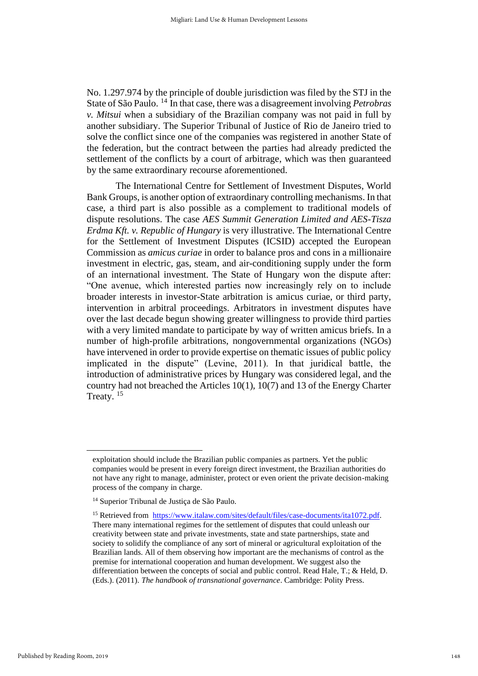No. 1.297.974 by the principle of double jurisdiction was filed by the STJ in the State of São Paulo. <sup>14</sup> In that case, there was a disagreement involving *Petrobras v. Mitsui* when a subsidiary of the Brazilian company was not paid in full by another subsidiary. The Superior Tribunal of Justice of Rio de Janeiro tried to solve the conflict since one of the companies was registered in another State of the federation, but the contract between the parties had already predicted the settlement of the conflicts by a court of arbitrage, which was then guaranteed by the same extraordinary recourse aforementioned.

The International Centre for Settlement of Investment Disputes, World Bank Groups, is another option of extraordinary controlling mechanisms. In that case, a third part is also possible as a complement to traditional models of dispute resolutions. The case *AES Summit Generation Limited and AES-Tisza Erdma Kft. v. Republic of Hungary* is very illustrative. The International Centre for the Settlement of Investment Disputes (ICSID) accepted the European Commission as *amicus curiae* in order to balance pros and cons in a millionaire investment in electric, gas, steam, and air-conditioning supply under the form of an international investment. The State of Hungary won the dispute after: "One avenue, which interested parties now increasingly rely on to include broader interests in investor-State arbitration is amicus curiae, or third party, intervention in arbitral proceedings. Arbitrators in investment disputes have over the last decade begun showing greater willingness to provide third parties with a very limited mandate to participate by way of written amicus briefs. In a number of high-profile arbitrations, nongovernmental organizations (NGOs) have intervened in order to provide expertise on thematic issues of public policy implicated in the dispute" (Levine, 2011). In that juridical battle, the introduction of administrative prices by Hungary was considered legal, and the country had not breached the Articles 10(1), 10(7) and 13 of the Energy Charter Treaty. <sup>15</sup>

exploitation should include the Brazilian public companies as partners. Yet the public companies would be present in every foreign direct investment, the Brazilian authorities do not have any right to manage, administer, protect or even orient the private decision-making process of the company in charge.

<sup>14</sup> Superior Tribunal de Justiça de São Paulo.

<sup>&</sup>lt;sup>15</sup> Retrieved from [https://www.italaw.com/sites/default/files/case-documents/ita1072.pdf.](https://www.italaw.com/sites/default/files/case-documents/ita1072.pdf) There many international regimes for the settlement of disputes that could unleash our creativity between state and private investments, state and state partnerships, state and society to solidify the compliance of any sort of mineral or agricultural exploitation of the Brazilian lands. All of them observing how important are the mechanisms of control as the premise for international cooperation and human development. We suggest also the differentiation between the concepts of social and public control. Read Hale, T.; & Held, D. (Eds.). (2011). *The handbook of transnational governance*. Cambridge: Polity Press.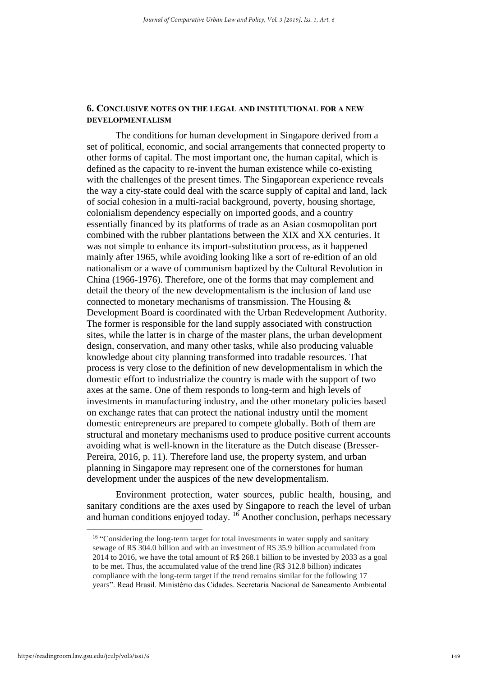# **6. CONCLUSIVE NOTES ON THE LEGAL AND INSTITUTIONAL FOR A NEW DEVELOPMENTALISM**

The conditions for human development in Singapore derived from a set of political, economic, and social arrangements that connected property to other forms of capital. The most important one, the human capital, which is defined as the capacity to re-invent the human existence while co-existing with the challenges of the present times. The Singaporean experience reveals the way a city-state could deal with the scarce supply of capital and land, lack of social cohesion in a multi-racial background, poverty, housing shortage, colonialism dependency especially on imported goods, and a country essentially financed by its platforms of trade as an Asian cosmopolitan port combined with the rubber plantations between the XIX and XX centuries. It was not simple to enhance its import-substitution process, as it happened mainly after 1965, while avoiding looking like a sort of re-edition of an old nationalism or a wave of communism baptized by the Cultural Revolution in China (1966-1976). Therefore, one of the forms that may complement and detail the theory of the new developmentalism is the inclusion of land use connected to monetary mechanisms of transmission. The Housing & Development Board is coordinated with the Urban Redevelopment Authority. The former is responsible for the land supply associated with construction sites, while the latter is in charge of the master plans, the urban development design, conservation, and many other tasks, while also producing valuable knowledge about city planning transformed into tradable resources. That process is very close to the definition of new developmentalism in which the domestic effort to industrialize the country is made with the support of two axes at the same. One of them responds to long-term and high levels of investments in manufacturing industry, and the other monetary policies based on exchange rates that can protect the national industry until the moment domestic entrepreneurs are prepared to compete globally. Both of them are structural and monetary mechanisms used to produce positive current accounts avoiding what is well-known in the literature as the Dutch disease (Bresser-Pereira, 2016, p. 11). Therefore land use, the property system, and urban planning in Singapore may represent one of the cornerstones for human development under the auspices of the new developmentalism.

Environment protection, water sources, public health, housing, and sanitary conditions are the axes used by Singapore to reach the level of urban and human conditions enjoyed today. <sup>16</sup> Another conclusion, perhaps necessary

<sup>&</sup>lt;sup>16</sup> "Considering the long-term target for total investments in water supply and sanitary sewage of R\$ 304.0 billion and with an investment of R\$ 35.9 billion accumulated from 2014 to 2016, we have the total amount of R\$ 268.1 billion to be invested by 2033 as a goal to be met. Thus, the accumulated value of the trend line (R\$ 312.8 billion) indicates compliance with the long-term target if the trend remains similar for the following 17 years". Read Brasil. Ministério das Cidades. Secretaria Nacional de Saneamento Ambiental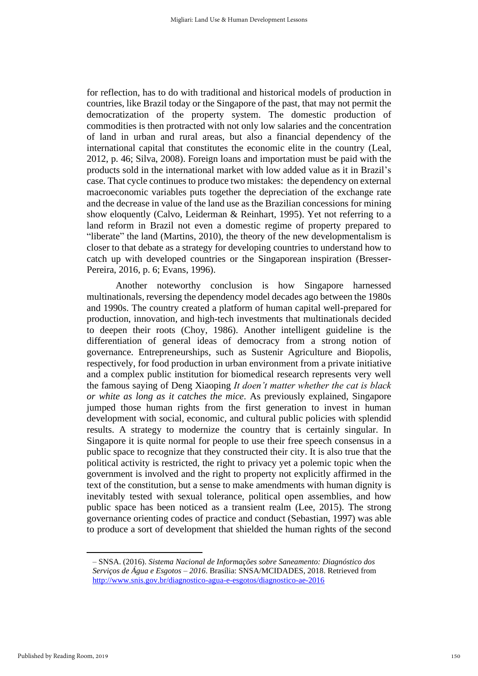for reflection, has to do with traditional and historical models of production in countries, like Brazil today or the Singapore of the past, that may not permit the democratization of the property system. The domestic production of commodities is then protracted with not only low salaries and the concentration of land in urban and rural areas, but also a financial dependency of the international capital that constitutes the economic elite in the country (Leal, 2012, p. 46; Silva, 2008). Foreign loans and importation must be paid with the products sold in the international market with low added value as it in Brazil's case. That cycle continues to produce two mistakes: the dependency on external macroeconomic variables puts together the depreciation of the exchange rate and the decrease in value of the land use as the Brazilian concessions for mining show eloquently (Calvo, Leiderman & Reinhart, 1995). Yet not referring to a land reform in Brazil not even a domestic regime of property prepared to "liberate" the land (Martins, 2010), the theory of the new developmentalism is closer to that debate as a strategy for developing countries to understand how to catch up with developed countries or the Singaporean inspiration (Bresser-Pereira, 2016, p. 6; Evans, 1996).

Another noteworthy conclusion is how Singapore harnessed multinationals, reversing the dependency model decades ago between the 1980s and 1990s. The country created a platform of human capital well-prepared for production, innovation, and high-tech investments that multinationals decided to deepen their roots (Choy, 1986). Another intelligent guideline is the differentiation of general ideas of democracy from a strong notion of governance. Entrepreneurships, such as Sustenir Agriculture and Biopolis, respectively, for food production in urban environment from a private initiative and a complex public institution for biomedical research represents very well the famous saying of Deng Xiaoping *It doen't matter whether the cat is black or white as long as it catches the mice*. As previously explained, Singapore jumped those human rights from the first generation to invest in human development with social, economic, and cultural public policies with splendid results. A strategy to modernize the country that is certainly singular. In Singapore it is quite normal for people to use their free speech consensus in a public space to recognize that they constructed their city. It is also true that the political activity is restricted, the right to privacy yet a polemic topic when the government is involved and the right to property not explicitly affirmed in the text of the constitution, but a sense to make amendments with human dignity is inevitably tested with sexual tolerance, political open assemblies, and how public space has been noticed as a transient realm (Lee, 2015). The strong governance orienting codes of practice and conduct (Sebastian, 1997) was able to produce a sort of development that shielded the human rights of the second

<sup>–</sup> SNSA. (2016). *Sistema Nacional de Informações sobre Saneamento: Diagnóstico dos Serviços de Água e Esgotos – 2016*. Brasília: SNSA/MCIDADES, 2018. Retrieved from <http://www.snis.gov.br/diagnostico-agua-e-esgotos/diagnostico-ae-2016>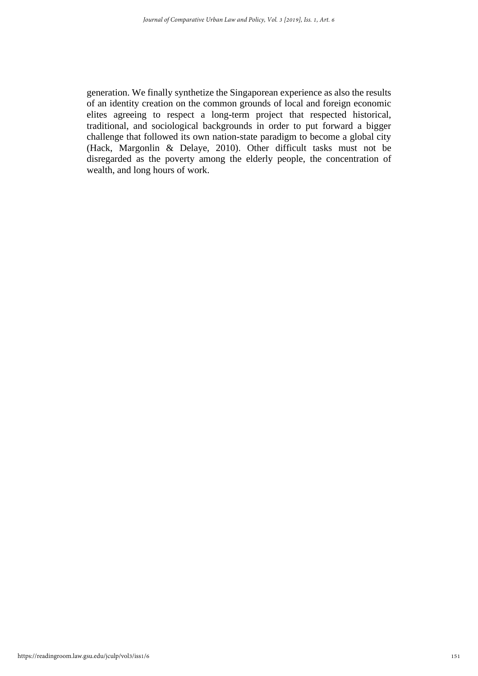generation. We finally synthetize the Singaporean experience as also the results of an identity creation on the common grounds of local and foreign economic elites agreeing to respect a long-term project that respected historical, traditional, and sociological backgrounds in order to put forward a bigger challenge that followed its own nation-state paradigm to become a global city (Hack, Margonlin & Delaye, 2010). Other difficult tasks must not be disregarded as the poverty among the elderly people, the concentration of wealth, and long hours of work.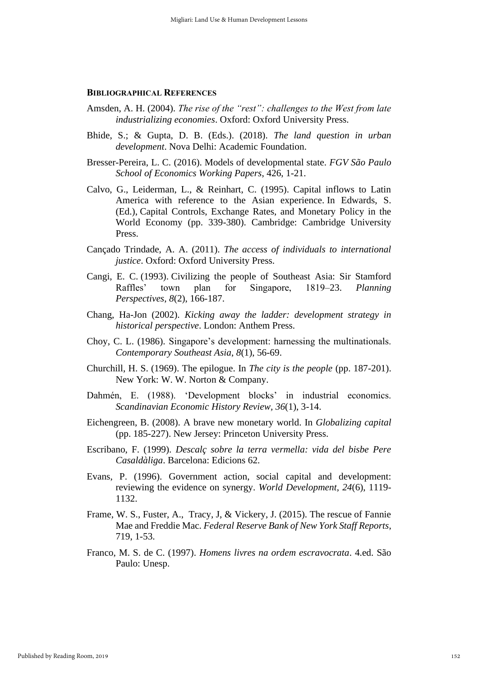## **BIBLIOGRAPHICAL REFERENCES**

- Amsden, A. H. (2004). *The rise of the "rest": challenges to the West from late industrializing economies*. Oxford: Oxford University Press.
- Bhide, S.; & Gupta, D. B. (Eds.). (2018). *The land question in urban development*. Nova Delhi: Academic Foundation.
- Bresser-Pereira, L. C. (2016). Models of developmental state. *FGV São Paulo School of Economics Working Papers*, 426, 1-21.
- Calvo, G., Leiderman, L., & Reinhart, C. (1995). Capital inflows to Latin America with reference to the Asian experience. In Edwards, S. (Ed.), Capital Controls, Exchange Rates, and Monetary Policy in the World Economy (pp. 339-380). Cambridge: Cambridge University Press.
- Cançado Trindade, A. A. (2011). *The access of individuals to international justice*. Oxford: Oxford University Press.
- Cangi, E. C. (1993). Civilizing the people of Southeast Asia: Sir Stamford Raffles' town plan for Singapore, 1819–23. *Planning Perspectives*, *8*(2), 166-187.
- Chang, Ha-Jon (2002). *Kicking away the ladder: development strategy in historical perspective*. London: Anthem Press.
- Choy, C. L. (1986). Singapore's development: harnessing the multinationals. *Contemporary Southeast Asia*, *8*(1), 56-69.
- Churchill, H. S. (1969). The epilogue. In *The city is the people* (pp. 187-201). New York: W. W. Norton & Company.
- Dahmén, E. (1988). 'Development blocks' in industrial economics. *Scandinavian Economic History Review, 36*(1), 3-14.
- Eichengreen, B. (2008). A brave new monetary world. In *Globalizing capital* (pp. 185-227). New Jersey: Princeton University Press.
- Escribano, F. (1999). *Descalç sobre la terra vermella: vida del bisbe Pere Casaldàliga*. Barcelona: Edicions 62.
- Evans, P. (1996). Government action, social capital and development: reviewing the evidence on synergy. *World Development*, *24*(6), 1119- 1132.
- Frame, W. S., Fuster, A., Tracy, J, & Vickery, J. (2015). The rescue of Fannie Mae and Freddie Mac. *Federal Reserve Bank of New York Staff Reports*, 719, 1-53.
- Franco, M. S. de C. (1997). *Homens livres na ordem escravocrata*. 4.ed. São Paulo: Unesp.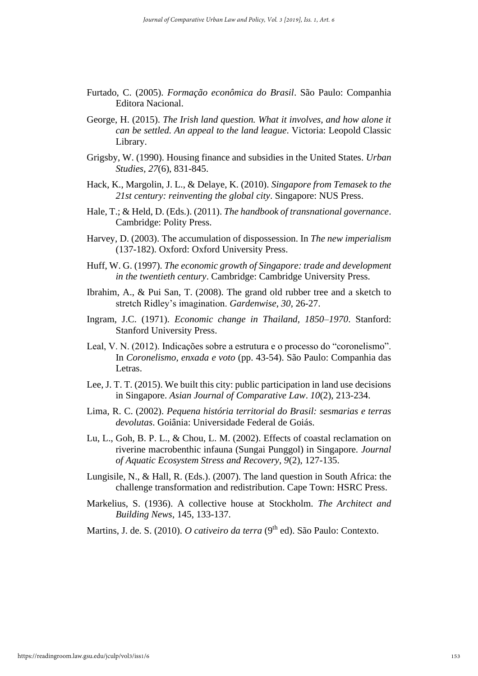- Furtado, C. (2005). *Formação econômica do Brasil*. São Paulo: Companhia Editora Nacional.
- George, H. (2015). *The Irish land question. What it involves, and how alone it can be settled. An appeal to the land league*. Victoria: Leopold Classic Library.
- Grigsby, W. (1990). Housing finance and subsidies in the United States. *Urban Studies, 27*(6), 831-845.
- Hack, K., Margolin, J. L., & Delaye, K. (2010). *Singapore from Temasek to the 21st century: reinventing the global city*. Singapore: NUS Press.
- Hale, T.; & Held, D. (Eds.). (2011). *The handbook of transnational governance*. Cambridge: Polity Press.
- Harvey, D. (2003). The accumulation of dispossession. In *The new imperialism* (137-182). Oxford: Oxford University Press.
- Huff, W. G. (1997). *The economic growth of Singapore: trade and development in the twentieth century*. Cambridge: Cambridge University Press.
- Ibrahim, A., & Pui San, T. (2008). The grand old rubber tree and a sketch to stretch Ridley's imagination. *Gardenwise*, *30*, 26-27.
- Ingram, J.C. (1971). *Economic change in Thailand, 1850–1970*. Stanford: Stanford University Press.
- Leal, V. N. (2012). Indicações sobre a estrutura e o processo do "coronelismo". In *Coronelismo, enxada e voto* (pp. 43-54). São Paulo: Companhia das Letras.
- Lee, J. T. T. (2015). We built this city: public participation in land use decisions in Singapore. *Asian Journal of Comparative Law*. *10*(2), 213-234.
- Lima, R. C. (2002). *Pequena história territorial do Brasil: sesmarias e terras devolutas*. Goiânia: Universidade Federal de Goiás.
- Lu, L., Goh, B. P. L., & Chou, L. M. (2002). Effects of coastal reclamation on riverine macrobenthic infauna (Sungai Punggol) in Singapore. *Journal of Aquatic Ecosystem Stress and Recovery*, *9*(2), 127-135.
- Lungisile, N., & Hall, R. (Eds.). (2007). The land question in South Africa: the challenge transformation and redistribution. Cape Town: HSRC Press.
- Markelius, S. (1936). A collective house at Stockholm. *The Architect and Building News*, 145, 133-137.
- Martins, J. de. S. (2010). *O cativeiro da terra* (9<sup>th</sup> ed). São Paulo: Contexto.